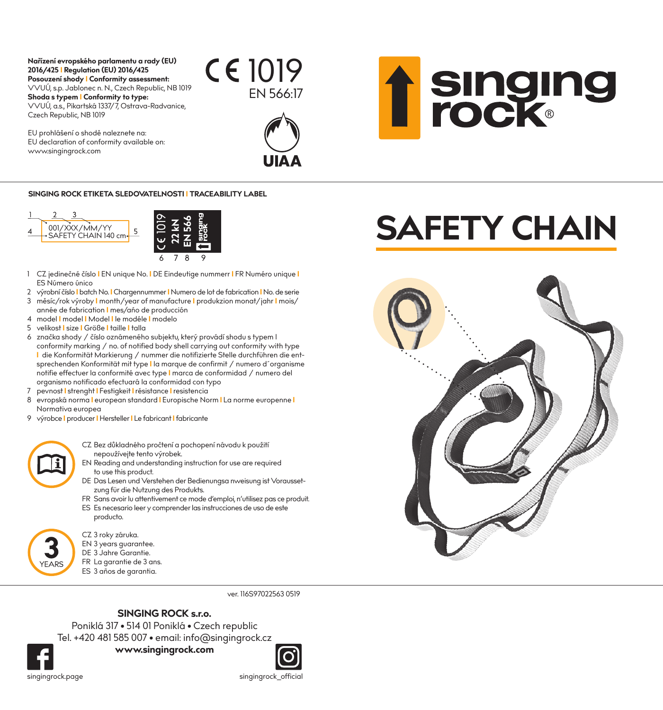## **Nařízení evropského parlamentu a rady (EU) 2016/425 I Regulation (EU) 2016/425 Posouzení shody I Conformity assessment:** VVUÚ, s.p. Jablonec n. N., Czech Republic, NB 1019 **Shoda s typem I Conformity to type:**

VVUÚ, a.s., Pikartská 1337/7, Ostrava-Radvanice, Czech Republic, NB 1019

EU prohlášení o shodě naleznete na: EU declaration of conformity available on: www.singingrock.com





## **SINGING ROCK ETIKETA SLEDOVATELNOSTI I TRACEABILITY LABEL**



- 1 CZ jedinečné číslo **I** EN unique No. **I** DE Eindeutige nummerr **I** FR Numéro unique **I** ES Número único
- 2 výrobní číslo **I** batch No. **I** Chargennummer **I** Numero de lot de fabrication **I** No. de serie
- 3 měsíc/rok výroby **I** month/year of manufacture **I** produkzion monat/jahr **I** mois/ année de fabrication **I** mes/ańo de producción
- 4 model **I** model **I** Model **I** le modéle **I** modelo
- 5 velikost **I** size **I** Größe **I** taille **I** talla
- 6 značka shody / číslo oznámeného subjektu, který provádí shodu s typem I conformity marking / no. of notified body shell carrying out conformity with type **I** die Konformität Markierung / nummer die notifizierte Stelle durchführen die entsprechenden Konformität mit type **I** la marque de confirmit / numero d´organisme notifie effectuer la conformité avec type **I** marca de conformidad / numero del organismo notificado efectuará la conformidad con typo
- 7 pevnost **I** strenght **I** Festigkeit **I** résistance **I** resistencia
- 8 evropská norma **I** european standard **I** Europische Norm **I** La norme europenne **I** Normativa europea
- 9 výrobce **I** producer **I** Hersteller **I** Le fabricant **I** fabricante
	- CZ Bez důkladného pročtení a pochopení návodu k použití nepoužívejte tento výrobek.
	- EN Reading and understanding instruction for use are required to use this product.
	- DE Das Lesen und Verstehen der Bedienungsa nweisung ist Voraussetzung für die Nutzung des Produkts.
	- FR Sans avoir lu attentivement ce mode d'emploi, n'utilisez pas ce produit.
	- ES Es necesario leer y comprender las instrucciones de uso de este producto.

CZ 3 roky záruka.

- EN 3 years guarantee.
- DE 3 Jahre Garantie.
- FR La garantie de 3 ans.
- ES 3 años de garantia.

ver. 116S97022563 0519

## **SINGING ROCK s.r.o.**

Poniklá 317 • 514 01 Poniklá • Czech republic Tel. +420 481 585 007 • email: info@singingrock.cz

**www.singingrock.com**



singingrock.page singingrock\_official

YEARS

## **SAFETY CHAIN**

**f** singing